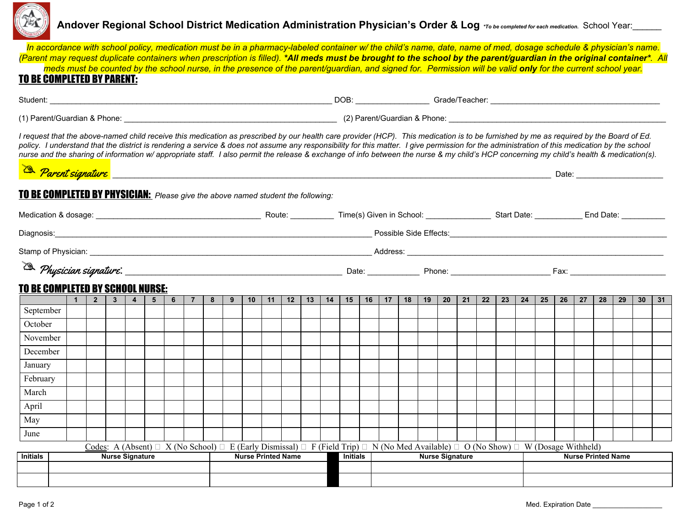

## Andover Regional School District Medication Administration Physician's Order & Log \*To be completed for each medication. School Year:

| In accordance with school policy, medication must be in a pharmacy-labeled container w/the child's name, date, name of med, dosage schedule & physician's name.<br>(Parent may request duplicate containers when prescription is filled). *All meds must be brought to the school by the parent/guardian in the original container*. All<br><b>TO BE COMPLETED BY PARENT:</b>                                                                                                                                                                                                                                                                                                                                                                                                                                        |  |                |  |  |                               |  |  |             |  |                                                                                                |                  |    |        |  |  |                     |  |                                                                                                                                                                   |    |                 |    |    |                 |                           |  |           |                 |    | meds must be counted by the school nurse, in the presence of the parent/guardian, and signed for. Permission will be valid only for the current school year. |    |                 |    |  |
|----------------------------------------------------------------------------------------------------------------------------------------------------------------------------------------------------------------------------------------------------------------------------------------------------------------------------------------------------------------------------------------------------------------------------------------------------------------------------------------------------------------------------------------------------------------------------------------------------------------------------------------------------------------------------------------------------------------------------------------------------------------------------------------------------------------------|--|----------------|--|--|-------------------------------|--|--|-------------|--|------------------------------------------------------------------------------------------------|------------------|----|--------|--|--|---------------------|--|-------------------------------------------------------------------------------------------------------------------------------------------------------------------|----|-----------------|----|----|-----------------|---------------------------|--|-----------|-----------------|----|--------------------------------------------------------------------------------------------------------------------------------------------------------------|----|-----------------|----|--|
|                                                                                                                                                                                                                                                                                                                                                                                                                                                                                                                                                                                                                                                                                                                                                                                                                      |  |                |  |  |                               |  |  |             |  |                                                                                                |                  |    |        |  |  |                     |  |                                                                                                                                                                   |    |                 |    |    |                 |                           |  |           |                 |    |                                                                                                                                                              |    |                 |    |  |
|                                                                                                                                                                                                                                                                                                                                                                                                                                                                                                                                                                                                                                                                                                                                                                                                                      |  |                |  |  |                               |  |  |             |  | (1) Parent/Guardian & Phone: 2012 12:00 Parent/Guardian & Phone: 2012 Parent/Guardian & Phone: |                  |    |        |  |  |                     |  |                                                                                                                                                                   |    |                 |    |    |                 |                           |  |           |                 |    |                                                                                                                                                              |    |                 |    |  |
| I request that the above-named child receive this medication as prescribed by our health care provider (HCP). This medication is to be furnished by me as required by the Board of Ed.<br>policy. I understand that the district is rendering a service & does not assume any responsibility for this matter. I give permission for the administration of this medication by the school<br>nurse and the sharing of information w/ appropriate staff. I also permit the release & exchange of info between the nurse & my child's HCP concerning my child's health & medication(s).<br>Referent signature enterprise to the contract of the contract of the contract of the contract of the contract of the contract of the contract of the contract of the contract of the contract of the contract of the contract |  |                |  |  |                               |  |  |             |  |                                                                                                |                  |    |        |  |  |                     |  |                                                                                                                                                                   |    |                 |    |    |                 |                           |  |           |                 |    |                                                                                                                                                              |    |                 |    |  |
| TO BE COMPLETED BY PHYSICIAN: Please give the above named student the following:                                                                                                                                                                                                                                                                                                                                                                                                                                                                                                                                                                                                                                                                                                                                     |  |                |  |  |                               |  |  |             |  |                                                                                                |                  |    |        |  |  |                     |  |                                                                                                                                                                   |    |                 |    |    |                 |                           |  |           |                 |    |                                                                                                                                                              |    |                 |    |  |
| Medication & dosage: <u>entitled and the control of the control of the control of the control of the control of the control of the control of the control of the control of the control of the control of the control of the con</u>                                                                                                                                                                                                                                                                                                                                                                                                                                                                                                                                                                                 |  |                |  |  |                               |  |  |             |  |                                                                                                |                  |    |        |  |  |                     |  |                                                                                                                                                                   |    |                 |    |    |                 |                           |  |           |                 |    |                                                                                                                                                              |    |                 |    |  |
| Diagnosis:                                                                                                                                                                                                                                                                                                                                                                                                                                                                                                                                                                                                                                                                                                                                                                                                           |  |                |  |  |                               |  |  |             |  |                                                                                                |                  |    |        |  |  |                     |  |                                                                                                                                                                   |    |                 |    |    |                 |                           |  |           |                 |    |                                                                                                                                                              |    |                 |    |  |
| Stamp of Physician: <u>New York: New York: New York: New York: New York: New York: New York: New York: New York: New York: New York: New York: New York: New York: New York: New York: New York: New York: New York: New York: N</u>                                                                                                                                                                                                                                                                                                                                                                                                                                                                                                                                                                                 |  |                |  |  |                               |  |  |             |  |                                                                                                |                  |    |        |  |  |                     |  |                                                                                                                                                                   |    |                 |    |    |                 |                           |  |           |                 |    |                                                                                                                                                              |    |                 |    |  |
| <b>TO BE COMPLETED BY SCHOOL NURSE:</b>                                                                                                                                                                                                                                                                                                                                                                                                                                                                                                                                                                                                                                                                                                                                                                              |  |                |  |  |                               |  |  |             |  |                                                                                                |                  |    |        |  |  |                     |  |                                                                                                                                                                   |    |                 |    |    |                 |                           |  |           |                 |    |                                                                                                                                                              |    |                 |    |  |
|                                                                                                                                                                                                                                                                                                                                                                                                                                                                                                                                                                                                                                                                                                                                                                                                                      |  | 1 <sup>1</sup> |  |  | $2 \mid 3 \mid 4 \mid 5 \mid$ |  |  | $6$   7   8 |  |                                                                                                | $9 \mid 10 \mid$ | 11 | $12-1$ |  |  | $13$   14   15   16 |  | 17 <sup>1</sup>                                                                                                                                                   | 18 | 19 <sup>1</sup> | 20 | 21 | 22 <sub>1</sub> | 23                        |  | $24$   25 | 26 <sup>1</sup> | 27 | 28                                                                                                                                                           | 29 | 30 <sup>°</sup> | 31 |  |
| September                                                                                                                                                                                                                                                                                                                                                                                                                                                                                                                                                                                                                                                                                                                                                                                                            |  |                |  |  |                               |  |  |             |  |                                                                                                |                  |    |        |  |  |                     |  |                                                                                                                                                                   |    |                 |    |    |                 |                           |  |           |                 |    |                                                                                                                                                              |    |                 |    |  |
| October                                                                                                                                                                                                                                                                                                                                                                                                                                                                                                                                                                                                                                                                                                                                                                                                              |  |                |  |  |                               |  |  |             |  |                                                                                                |                  |    |        |  |  |                     |  |                                                                                                                                                                   |    |                 |    |    |                 |                           |  |           |                 |    |                                                                                                                                                              |    |                 |    |  |
| November                                                                                                                                                                                                                                                                                                                                                                                                                                                                                                                                                                                                                                                                                                                                                                                                             |  |                |  |  |                               |  |  |             |  |                                                                                                |                  |    |        |  |  |                     |  |                                                                                                                                                                   |    |                 |    |    |                 |                           |  |           |                 |    |                                                                                                                                                              |    |                 |    |  |
| December                                                                                                                                                                                                                                                                                                                                                                                                                                                                                                                                                                                                                                                                                                                                                                                                             |  |                |  |  |                               |  |  |             |  |                                                                                                |                  |    |        |  |  |                     |  |                                                                                                                                                                   |    |                 |    |    |                 |                           |  |           |                 |    |                                                                                                                                                              |    |                 |    |  |
| January                                                                                                                                                                                                                                                                                                                                                                                                                                                                                                                                                                                                                                                                                                                                                                                                              |  |                |  |  |                               |  |  |             |  |                                                                                                |                  |    |        |  |  |                     |  |                                                                                                                                                                   |    |                 |    |    |                 |                           |  |           |                 |    |                                                                                                                                                              |    |                 |    |  |
| February                                                                                                                                                                                                                                                                                                                                                                                                                                                                                                                                                                                                                                                                                                                                                                                                             |  |                |  |  |                               |  |  |             |  |                                                                                                |                  |    |        |  |  |                     |  |                                                                                                                                                                   |    |                 |    |    |                 |                           |  |           |                 |    |                                                                                                                                                              |    |                 |    |  |
| March                                                                                                                                                                                                                                                                                                                                                                                                                                                                                                                                                                                                                                                                                                                                                                                                                |  |                |  |  |                               |  |  |             |  |                                                                                                |                  |    |        |  |  |                     |  |                                                                                                                                                                   |    |                 |    |    |                 |                           |  |           |                 |    |                                                                                                                                                              |    |                 |    |  |
| April<br>May                                                                                                                                                                                                                                                                                                                                                                                                                                                                                                                                                                                                                                                                                                                                                                                                         |  |                |  |  |                               |  |  |             |  |                                                                                                |                  |    |        |  |  |                     |  |                                                                                                                                                                   |    |                 |    |    |                 |                           |  |           |                 |    |                                                                                                                                                              |    |                 |    |  |
| June                                                                                                                                                                                                                                                                                                                                                                                                                                                                                                                                                                                                                                                                                                                                                                                                                 |  |                |  |  |                               |  |  |             |  |                                                                                                |                  |    |        |  |  |                     |  |                                                                                                                                                                   |    |                 |    |    |                 |                           |  |           |                 |    |                                                                                                                                                              |    |                 |    |  |
|                                                                                                                                                                                                                                                                                                                                                                                                                                                                                                                                                                                                                                                                                                                                                                                                                      |  |                |  |  |                               |  |  |             |  |                                                                                                |                  |    |        |  |  |                     |  | Codes: A (Absent) $\Box$ X (No School) $\Box$ E (Early Dismissal) $\Box$ F (Field Trip) $\Box$ N (No Med Available) $\Box$ O (No Show) $\Box$ W (Dosage Withheld) |    |                 |    |    |                 |                           |  |           |                 |    |                                                                                                                                                              |    |                 |    |  |
| <b>Initials</b>                                                                                                                                                                                                                                                                                                                                                                                                                                                                                                                                                                                                                                                                                                                                                                                                      |  |                |  |  | <b>Nurse Signature</b>        |  |  |             |  | <b>Nurse Printed Name</b>                                                                      |                  |    |        |  |  | <b>Initials</b>     |  | <b>Nurse Signature</b>                                                                                                                                            |    |                 |    |    |                 | <b>Nurse Printed Name</b> |  |           |                 |    |                                                                                                                                                              |    |                 |    |  |
|                                                                                                                                                                                                                                                                                                                                                                                                                                                                                                                                                                                                                                                                                                                                                                                                                      |  |                |  |  |                               |  |  |             |  |                                                                                                |                  |    |        |  |  |                     |  |                                                                                                                                                                   |    |                 |    |    |                 |                           |  |           |                 |    |                                                                                                                                                              |    |                 |    |  |
|                                                                                                                                                                                                                                                                                                                                                                                                                                                                                                                                                                                                                                                                                                                                                                                                                      |  |                |  |  |                               |  |  |             |  |                                                                                                |                  |    |        |  |  |                     |  |                                                                                                                                                                   |    |                 |    |    |                 |                           |  |           |                 |    |                                                                                                                                                              |    |                 |    |  |